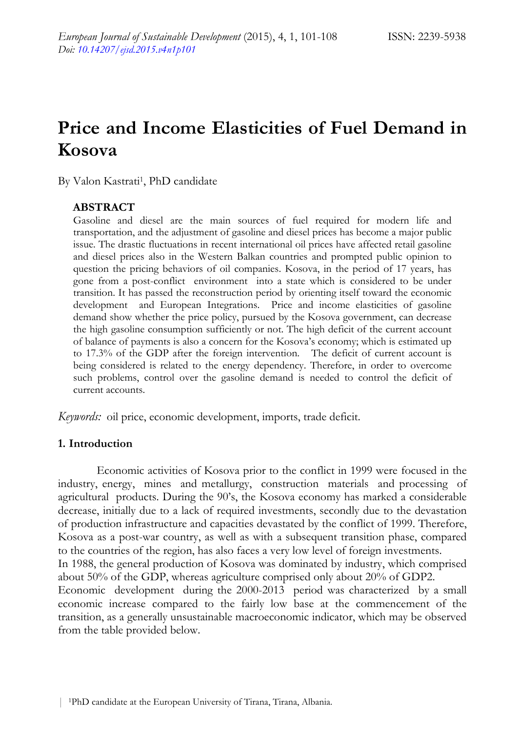# **Price and Income Elasticities of Fuel Demand in Kosova**

By Valon Kastrati<sup>1</sup>, PhD candidate

## **ABSTRACT**

Gasoline and diesel are the main sources of fuel required for modern life and transportation, and the adjustment of gasoline and diesel prices has become a major public issue. The drastic fluctuations in recent international oil prices have affected retail gasoline and diesel prices also in the Western Balkan countries and prompted public opinion to question the pricing behaviors of oil companies. Kosova, in the period of 17 years, has gone from a post-conflict environment into a state which is considered to be under transition. It has passed the reconstruction period by orienting itself toward the economic development and European Integrations. Price and income elasticities of gasoline demand show whether the price policy, pursued by the Kosova government, can decrease the high gasoline consumption sufficiently or not. The high deficit of the current account of balance of payments is also a concern for the Kosova's economy; which is estimated up to 17.3% of the GDP after the foreign intervention. The deficit of current account is being considered is related to the energy dependency. Therefore, in order to overcome such problems, control over the gasoline demand is needed to control the deficit of current accounts.

*Keywords:* oil price, economic development, imports, trade deficit.

### **1. Introduction**

Economic activities of Kosova prior to the conflict in 1999 were focused in the industry, energy, mines and metallurgy, construction materials and processing of agricultural products. During the 90's, the Kosova economy has marked a considerable decrease, initially due to a lack of required investments, secondly due to the devastation of production infrastructure and capacities devastated by the conflict of 1999. Therefore, Kosova as a post-war country, as well as with a subsequent transition phase, compared to the countries of the region, has also faces a very low level of foreign investments. In 1988, the general production of Kosova was dominated by industry, which comprised about 50% of the GDP, whereas agriculture comprised only about 20% of GDP2. Economic development during the 2000-2013 period was characterized by a small economic increase compared to the fairly low base at the commencement of the transition, as a generally unsustainable macroeconomic indicator, which may be observed from the table provided below.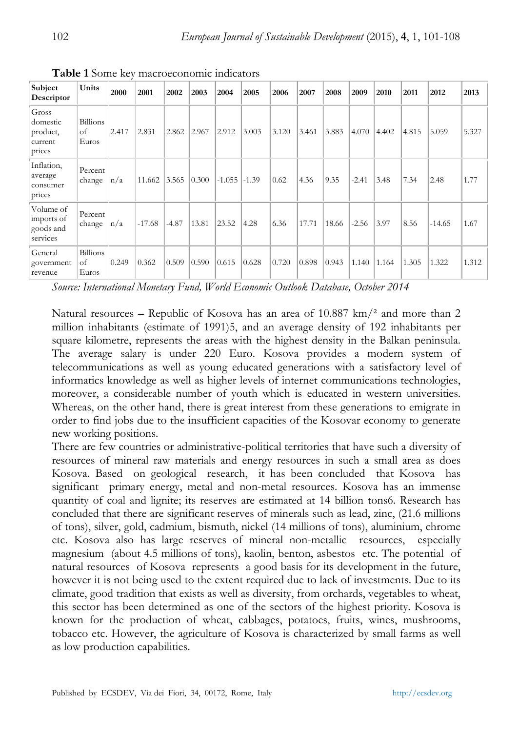| Subject<br>Descriptor                              | Units                          | 2000  | 2001     | 2002    | 2003  | 2004     | 2005    | 2006  | 2007  | 2008  | 2009    | 2010  | 2011  | 2012     | 2013  |
|----------------------------------------------------|--------------------------------|-------|----------|---------|-------|----------|---------|-------|-------|-------|---------|-------|-------|----------|-------|
| Gross<br>domestic<br>product,<br>current<br>prices | Billions<br>of<br>Euros        | 2.417 | 2.831    | 2.862   | 2.967 | 2.912    | 3.003   | 3.120 | 3.461 | 3.883 | 4.070   | 4.402 | 4.815 | 5.059    | 5.327 |
| Inflation,<br>average<br>consumer<br>prices        | Percent<br>change              | n/a   | 11.662   | 3.565   | 0.300 | $-1.055$ | $-1.39$ | 0.62  | 4.36  | 9.35  | $-2.41$ | 3.48  | 7.34  | 2.48     | 1.77  |
| Volume of<br>imports of<br>goods and<br>services   | Percent<br>change              | n/a   | $-17.68$ | $-4.87$ | 13.81 | 23.52    | 4.28    | 6.36  | 17.71 | 18.66 | $-2.56$ | 3.97  | 8.56  | $-14.65$ | 1.67  |
| General<br>government<br>revenue                   | <b>Billions</b><br>of<br>Euros | 0.249 | 0.362    | 0.509   | 0.590 | 0.615    | 0.628   | 0.720 | 0.898 | 0.943 | 1.140   | 1.164 | 1.305 | 1.322    | 1.312 |

**Table 1** Some key macroeconomic indicators

*Source: International Monetary Fund, World Economic Outlook Database, October 2014* 

Natural resources – Republic of Kosova has an area of  $10.887 \text{ km}/^2$  and more than 2 million inhabitants (estimate of 1991)5, and an average density of 192 inhabitants per square kilometre, represents the areas with the highest density in the Balkan peninsula. The average salary is under 220 Euro. Kosova provides a modern system of telecommunications as well as young educated generations with a satisfactory level of informatics knowledge as well as higher levels of internet communications technologies, moreover, a considerable number of youth which is educated in western universities. Whereas, on the other hand, there is great interest from these generations to emigrate in order to find jobs due to the insufficient capacities of the Kosovar economy to generate new working positions.

There are few countries or administrative-political territories that have such a diversity of resources of mineral raw materials and energy resources in such a small area as does Kosova. Based on geological research, it has been concluded that Kosova has significant primary energy, metal and non-metal resources. Kosova has an immense quantity of coal and lignite; its reserves are estimated at 14 billion tons6. Research has concluded that there are significant reserves of minerals such as lead, zinc, (21.6 millions of tons), silver, gold, cadmium, bismuth, nickel (14 millions of tons), aluminium, chrome etc. Kosova also has large reserves of mineral non-metallic resources, especially magnesium (about 4.5 millions of tons), kaolin, benton, asbestos etc. The potential of natural resources of Kosova represents a good basis for its development in the future, however it is not being used to the extent required due to lack of investments. Due to its climate, good tradition that exists as well as diversity, from orchards, vegetables to wheat, this sector has been determined as one of the sectors of the highest priority. Kosova is known for the production of wheat, cabbages, potatoes, fruits, wines, mushrooms, tobacco etc. However, the agriculture of Kosova is characterized by small farms as well as low production capabilities.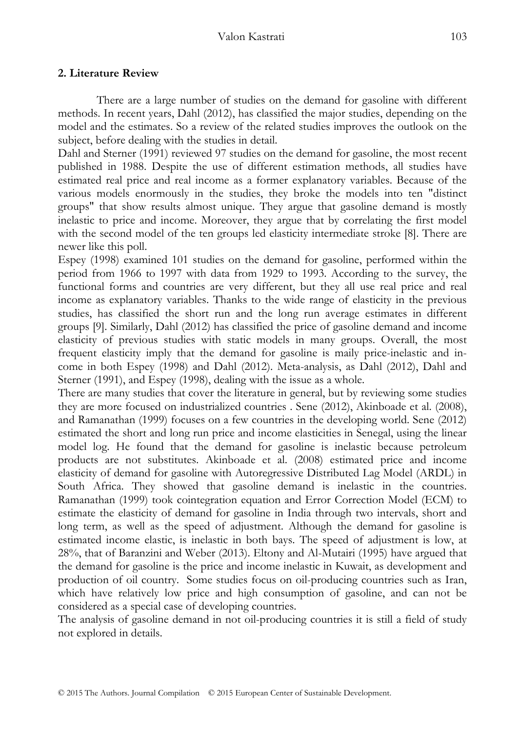## **2. Literature Review**

There are a large number of studies on the demand for gasoline with different methods. In recent years, Dahl (2012), has classified the major studies, depending on the model and the estimates. So a review of the related studies improves the outlook on the subject, before dealing with the studies in detail.

Dahl and Sterner (1991) reviewed 97 studies on the demand for gasoline, the most recent published in 1988. Despite the use of different estimation methods, all studies have estimated real price and real income as a former explanatory variables. Because of the various models enormously in the studies, they broke the models into ten "distinct groups" that show results almost unique. They argue that gasoline demand is mostly inelastic to price and income. Moreover, they argue that by correlating the first model with the second model of the ten groups led elasticity intermediate stroke [8]. There are newer like this poll.

Espey (1998) examined 101 studies on the demand for gasoline, performed within the period from 1966 to 1997 with data from 1929 to 1993. According to the survey, the functional forms and countries are very different, but they all use real price and real income as explanatory variables. Thanks to the wide range of elasticity in the previous studies, has classified the short run and the long run average estimates in different groups [9]. Similarly, Dahl (2012) has classified the price of gasoline demand and income elasticity of previous studies with static models in many groups. Overall, the most frequent elasticity imply that the demand for gasoline is maily price-inelastic and income in both Espey (1998) and Dahl (2012). Meta-analysis, as Dahl (2012), Dahl and Sterner (1991), and Espey (1998), dealing with the issue as a whole.

There are many studies that cover the literature in general, but by reviewing some studies they are more focused on industrialized countries . Sene (2012), Akinboade et al. (2008), and Ramanathan (1999) focuses on a few countries in the developing world. Sene (2012) estimated the short and long run price and income elasticities in Senegal, using the linear model log. He found that the demand for gasoline is inelastic because petroleum products are not substitutes. Akinboade et al. (2008) estimated price and income elasticity of demand for gasoline with Autoregressive Distributed Lag Model (ARDL) in South Africa. They showed that gasoline demand is inelastic in the countries. Ramanathan (1999) took cointegration equation and Error Correction Model (ECM) to estimate the elasticity of demand for gasoline in India through two intervals, short and long term, as well as the speed of adjustment. Although the demand for gasoline is estimated income elastic, is inelastic in both bays. The speed of adjustment is low, at 28%, that of Baranzini and Weber (2013). Eltony and Al-Mutairi (1995) have argued that the demand for gasoline is the price and income inelastic in Kuwait, as development and production of oil country. Some studies focus on oil-producing countries such as Iran, which have relatively low price and high consumption of gasoline, and can not be considered as a special case of developing countries.

The analysis of gasoline demand in not oil-producing countries it is still a field of study not explored in details.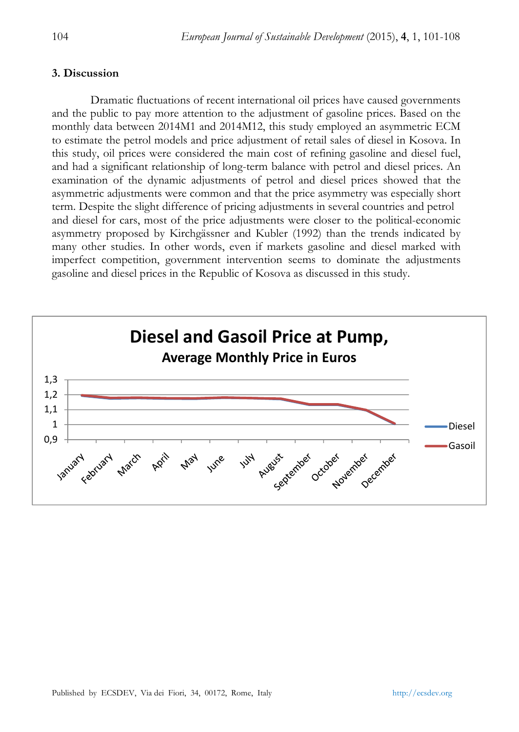## **3. Discussion**

Dramatic fluctuations of recent international oil prices have caused governments and the public to pay more attention to the adjustment of gasoline prices. Based on the monthly data between 2014M1 and 2014M12, this study employed an asymmetric ECM to estimate the petrol models and price adjustment of retail sales of diesel in Kosova. In this study, oil prices were considered the main cost of refining gasoline and diesel fuel, and had a significant relationship of long-term balance with petrol and diesel prices. An examination of the dynamic adjustments of petrol and diesel prices showed that the asymmetric adjustments were common and that the price asymmetry was especially short term. Despite the slight difference of pricing adjustments in several countries and petrol and diesel for cars, most of the price adjustments were closer to the political-economic asymmetry proposed by Kirchgässner and Kubler (1992) than the trends indicated by many other studies. In other words, even if markets gasoline and diesel marked with imperfect competition, government intervention seems to dominate the adjustments gasoline and diesel prices in the Republic of Kosova as discussed in this study.

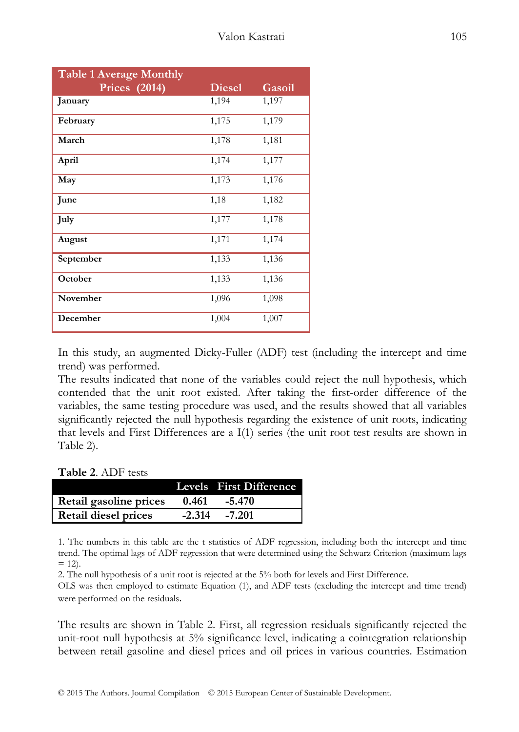| <b>Table 1 Average Monthly</b> |               |        |  |  |  |  |
|--------------------------------|---------------|--------|--|--|--|--|
| Prices (2014)                  | <b>Diesel</b> | Gasoil |  |  |  |  |
| January                        | 1,194         | 1,197  |  |  |  |  |
| February                       | 1,175         | 1,179  |  |  |  |  |
| March                          | 1,178         | 1,181  |  |  |  |  |
| April                          | 1,174         | 1,177  |  |  |  |  |
| May                            | 1,173         | 1,176  |  |  |  |  |
| June                           | 1,18          | 1,182  |  |  |  |  |
| July                           | 1,177         | 1,178  |  |  |  |  |
| August                         | 1,171         | 1,174  |  |  |  |  |
| September                      | 1,133         | 1,136  |  |  |  |  |
| October                        | 1,133         | 1,136  |  |  |  |  |
| November                       | 1,096         | 1,098  |  |  |  |  |
| December                       | 1,004         | 1,007  |  |  |  |  |

In this study, an augmented Dicky-Fuller (ADF) test (including the intercept and time trend) was performed.

The results indicated that none of the variables could reject the null hypothesis, which contended that the unit root existed. After taking the first-order difference of the variables, the same testing procedure was used, and the results showed that all variables significantly rejected the null hypothesis regarding the existence of unit roots, indicating that levels and First Differences are a I(1) series (the unit root test results are shown in Table 2).

**Table 2**. ADF tests

|                        |          | Levels First Difference |
|------------------------|----------|-------------------------|
| Retail gasoline prices | 0.461    | -5.470                  |
| Retail diesel prices   | $-2.314$ | -7.201                  |

1. The numbers in this table are the t statistics of ADF regression, including both the intercept and time trend. The optimal lags of ADF regression that were determined using the Schwarz Criterion (maximum lags  $= 12$ .

2. The null hypothesis of a unit root is rejected at the 5% both for levels and First Difference.

OLS was then employed to estimate Equation (1), and ADF tests (excluding the intercept and time trend) were performed on the residuals.

The results are shown in Table 2. First, all regression residuals significantly rejected the unit-root null hypothesis at 5% significance level, indicating a cointegration relationship between retail gasoline and diesel prices and oil prices in various countries. Estimation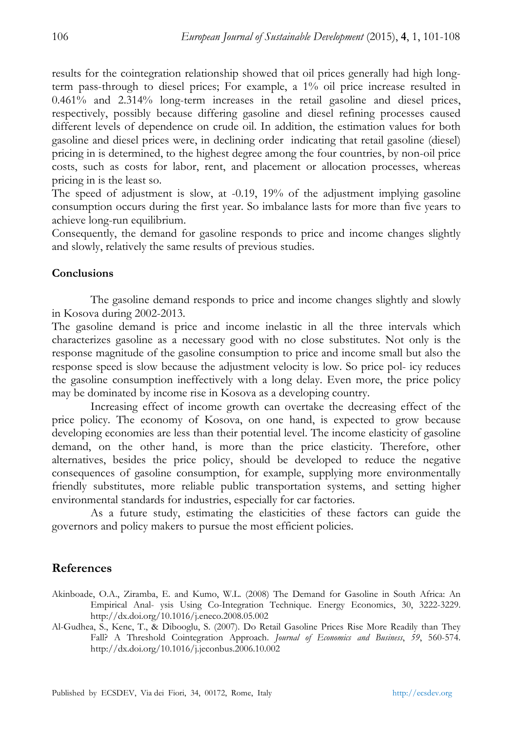results for the cointegration relationship showed that oil prices generally had high longterm pass-through to diesel prices; For example, a 1% oil price increase resulted in 0.461% and 2.314% long-term increases in the retail gasoline and diesel prices, respectively, possibly because differing gasoline and diesel refining processes caused different levels of dependence on crude oil. In addition, the estimation values for both gasoline and diesel prices were, in declining order indicating that retail gasoline (diesel) pricing in is determined, to the highest degree among the four countries, by non-oil price costs, such as costs for labor, rent, and placement or allocation processes, whereas pricing in is the least so.

The speed of adjustment is slow, at -0.19, 19% of the adjustment implying gasoline consumption occurs during the first year. So imbalance lasts for more than five years to achieve long-run equilibrium.

Consequently, the demand for gasoline responds to price and income changes slightly and slowly, relatively the same results of previous studies.

### **Conclusions**

The gasoline demand responds to price and income changes slightly and slowly in Kosova during 2002-2013.

The gasoline demand is price and income inelastic in all the three intervals which characterizes gasoline as a necessary good with no close substitutes. Not only is the response magnitude of the gasoline consumption to price and income small but also the response speed is slow because the adjustment velocity is low. So price pol- icy reduces the gasoline consumption ineffectively with a long delay. Even more, the price policy may be dominated by income rise in Kosova as a developing country.

Increasing effect of income growth can overtake the decreasing effect of the price policy. The economy of Kosova, on one hand, is expected to grow because developing economies are less than their potential level. The income elasticity of gasoline demand, on the other hand, is more than the price elasticity. Therefore, other alternatives, besides the price policy, should be developed to reduce the negative consequences of gasoline consumption, for example, supplying more environmentally friendly substitutes, more reliable public transportation systems, and setting higher environmental standards for industries, especially for car factories.

As a future study, estimating the elasticities of these factors can guide the governors and policy makers to pursue the most efficient policies.

### **References**

- Akinboade, O.A., Ziramba, E. and Kumo, W.L. (2008) The Demand for Gasoline in South Africa: An Empirical Anal- ysis Using Co-Integration Technique. Energy Economics, 30, 3222-3229. http://dx.doi.org/10.1016/j.eneco.2008.05.002
- Al-Gudhea, S., Kenc, T., & Dibooglu, S. (2007). Do Retail Gasoline Prices Rise More Readily than They Fall? A Threshold Cointegration Approach. *Journal of Economics and Business*, *59*, 560-574. http://dx.doi.org/10.1016/j.jeconbus.2006.10.002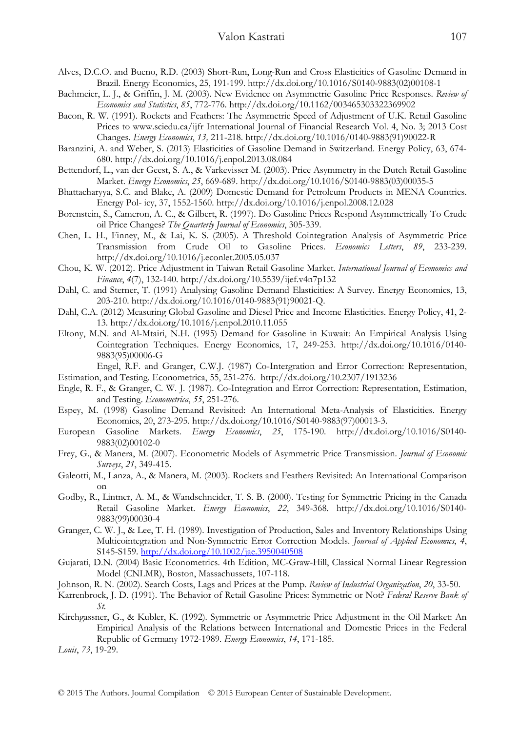- Alves, D.C.O. and Bueno, R.D. (2003) Short-Run, Long-Run and Cross Elasticities of Gasoline Demand in Brazil. Energy Economics, 25, 191-199. http://dx.doi.org/10.1016/S0140-9883(02)00108-1
- Bachmeier, L. J., & Griffin, J. M. (2003). New Evidence on Asymmetric Gasoline Price Responses. *Review of Economics and Statistics*, *85*, 772-776. http://dx.doi.org/10.1162/003465303322369902
- Bacon, R. W. (1991). Rockets and Feathers: The Asymmetric Speed of Adjustment of U.K. Retail Gasoline Prices to www.sciedu.ca/ijfr International Journal of Financial Research Vol. 4, No. 3; 2013 Cost Changes. *Energy Economics*, *13,* 211-218. http://dx.doi.org/10.1016/0140-9883(91)90022-R
- Baranzini, A. and Weber, S. (2013) Elasticities of Gasoline Demand in Switzerland. Energy Policy, 63, 674- 680. http://dx.doi.org/10.1016/j.enpol.2013.08.084
- Bettendorf, L., van der Geest, S. A., & Varkevisser M. (2003). Price Asymmetry in the Dutch Retail Gasoline Market. *Energy Economics*, *25*, 669-689. http://dx.doi.org/10.1016/S0140-9883(03)00035-5
- Bhattacharyya, S.C. and Blake, A. (2009) Domestic Demand for Petroleum Products in MENA Countries. Energy Pol- icy, 37, 1552-1560. http://dx.doi.org/10.1016/j.enpol.2008.12.028
- Borenstein, S., Cameron, A. C., & Gilbert, R. (1997). Do Gasoline Prices Respond Asymmetrically To Crude oil Price Changes? *The Quarterly Journal of Economics*, 305-339.
- Chen, L. H., Finney, M., & Lai, K. S. (2005). A Threshold Cointegration Analysis of Asymmetric Price Transmission from Crude Oil to Gasoline Prices. *Economics Letters*, *89*, 233-239. http://dx.doi.org/10.1016/j.econlet.2005.05.037
- Chou, K. W. (2012). Price Adjustment in Taiwan Retail Gasoline Market. *International Journal of Economics and Finance*, *4*(7), 132-140. http://dx.doi.org/10.5539/ijef.v4n7p132
- Dahl, C. and Sterner, T. (1991) Analysing Gasoline Demand Elasticities: A Survey. Energy Economics, 13, 203-210. http://dx.doi.org/10.1016/0140-9883(91)90021-Q.
- Dahl, C.A. (2012) Measuring Global Gasoline and Diesel Price and Income Elasticities. Energy Policy, 41, 2- 13. http://dx.doi.org/10.1016/j.enpol.2010.11.055
- Eltony, M.N. and Al-Mtairi, N.H. (1995) Demand for Gasoline in Kuwait: An Empirical Analysis Using Cointegration Techniques. Energy Economics, 17, 249-253. http://dx.doi.org/10.1016/0140- 9883(95)00006-G

Engel, R.F. and Granger, C.W.J. (1987) Co-Intergration and Error Correction: Representation, Estimation, and Testing. Econometrica, 55, 251-276. http://dx.doi.org/10.2307/1913236

- Engle, R. F., & Granger, C. W. J. (1987). Co-Integration and Error Correction: Representation, Estimation, and Testing. *Econometrica*, *55*, 251-276.
- Espey, M. (1998) Gasoline Demand Revisited: An International Meta-Analysis of Elasticities. Energy Economics, 20, 273-295. http://dx.doi.org/10.1016/S0140-9883(97)00013-3.
- European Gasoline Markets. *Energy Economics*, *25*, 175-190. http://dx.doi.org/10.1016/S0140- 9883(02)00102-0
- Frey, G., & Manera, M. (2007). Econometric Models of Asymmetric Price Transmission. *Journal of Economic Surveys*, *21*, 349-415.
- Galeotti, M., Lanza, A., & Manera, M. (2003). Rockets and Feathers Revisited: An International Comparison on
- Godby, R., Lintner, A. M., & Wandschneider, T. S. B. (2000). Testing for Symmetric Pricing in the Canada Retail Gasoline Market. *Energy Economics*, *22*, 349-368. http://dx.doi.org/10.1016/S0140- 9883(99)00030-4
- Granger, C. W. J., & Lee, T. H. (1989). Investigation of Production, Sales and Inventory Relationships Using Multicointegration and Non-Symmetric Error Correction Models. *Journal of Applied Economics*, *4*, S145-S159. http://dx.doi.org/10.1002/jae.3950040508
- Gujarati, D.N. (2004) Basic Econometrics. 4th Edition, MC-Graw-Hill, Classical Normal Linear Regression Model (CNLMR), Boston, Massachussets, 107-118.
- Johnson, R. N. (2002). Search Costs, Lags and Prices at the Pump. *Review of Industrial Organization*, *20*, 33-50.
- Karrenbrock, J. D. (1991). The Behavior of Retail Gasoline Prices: Symmetric or Not? *Federal Reserve Bank of St.*
- Kirchgassner, G., & Kubler, K. (1992). Symmetric or Asymmetric Price Adjustment in the Oil Market: An Empirical Analysis of the Relations between International and Domestic Prices in the Federal Republic of Germany 1972-1989. *Energy Economics*, *14*, 171-185.
- *Louis*, *73*, 19-29.